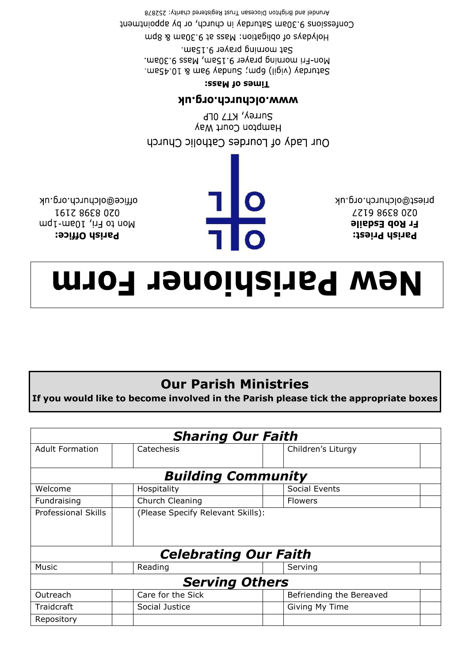| <b>Sharing Our Faith</b>     |                                   |  |                          |  |  |  |  |  |  |
|------------------------------|-----------------------------------|--|--------------------------|--|--|--|--|--|--|
| <b>Adult Formation</b>       | Catechesis                        |  | Children's Liturgy       |  |  |  |  |  |  |
|                              |                                   |  |                          |  |  |  |  |  |  |
| <b>Building Community</b>    |                                   |  |                          |  |  |  |  |  |  |
| Welcome                      | Hospitality                       |  | Social Events            |  |  |  |  |  |  |
| Fundraising                  | Church Cleaning                   |  | <b>Flowers</b>           |  |  |  |  |  |  |
| <b>Professional Skills</b>   | (Please Specify Relevant Skills): |  |                          |  |  |  |  |  |  |
|                              |                                   |  |                          |  |  |  |  |  |  |
|                              |                                   |  |                          |  |  |  |  |  |  |
| <b>Celebrating Our Faith</b> |                                   |  |                          |  |  |  |  |  |  |
| Music                        | Reading                           |  | Serving                  |  |  |  |  |  |  |
| <b>Serving Others</b>        |                                   |  |                          |  |  |  |  |  |  |
| Outreach                     | Care for the Sick                 |  | Befriending the Bereaved |  |  |  |  |  |  |
| Traidcraft                   | Social Justice                    |  | Giving My Time           |  |  |  |  |  |  |
| Repository                   |                                   |  |                          |  |  |  |  |  |  |
|                              |                                   |  |                          |  |  |  |  |  |  |

## **Our Parish Ministries** If you would like to become involved in the Parish please tick the appropriate boxes

## **Mew Parishioner Form**

office@olchurch.org.uk **I6IZ 86E8 0Z0** Mon to Fri, 10am-1pm Parish Office:

110

priest@olchurch.org.uk **LZI9 86E8 0Z0 Fr Rob Esdaile Parish Priest:** 

Surrey, KT7 0LP Hampton Court Way Our Lady of Lourdes Catholic Church

## **MWW.Olchurch.org.uk**

## Times of Mass:

Arundel and Brighton Diocesan Trust Registered charity: 252878 Confessions 9.30am Saturday in church, or by appointment Holydays of obligation: Mass at 9.30am & 8pm Sat morning prayer 9.15am. Mon-Fri morning prayer 9.15am, Mass 9.30am. Saturday (vigil) 6pm; Sunday 9am & 10.45am.